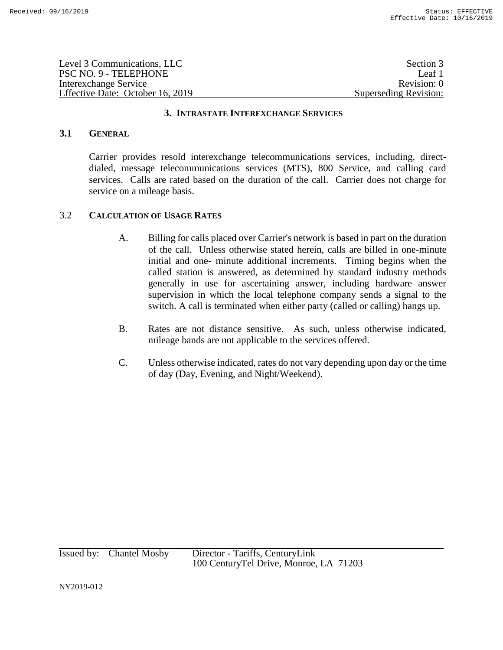| Level 3 Communications, LLC      | Section 3             |
|----------------------------------|-----------------------|
| PSC NO. 9 - TELEPHONE            | Leaf 1                |
| Interexchange Service            | Revision: 0           |
| Effective Date: October 16, 2019 | Superseding Revision: |

# **3.1 GENERAL**

Carrier provides resold interexchange telecommunications services, including, directdialed, message telecommunications services (MTS), 800 Service, and calling card services. Calls are rated based on the duration of the call. Carrier does not charge for service on a mileage basis.

## 3.2 **CALCULATION OF USAGE RATES**

- A. Billing for calls placed over Carrier's network is based in part on the duration of the call. Unless otherwise stated herein, calls are billed in one-minute initial and one- minute additional increments. Timing begins when the called station is answered, as determined by standard industry methods generally in use for ascertaining answer, including hardware answer supervision in which the local telephone company sends a signal to the switch. A call is terminated when either party (called or calling) hangs up.
- B. Rates are not distance sensitive. As such, unless otherwise indicated, mileage bands are not applicable to the services offered.
- C. Unless otherwise indicated, rates do not vary depending upon day or the time of day (Day, Evening, and Night/Weekend).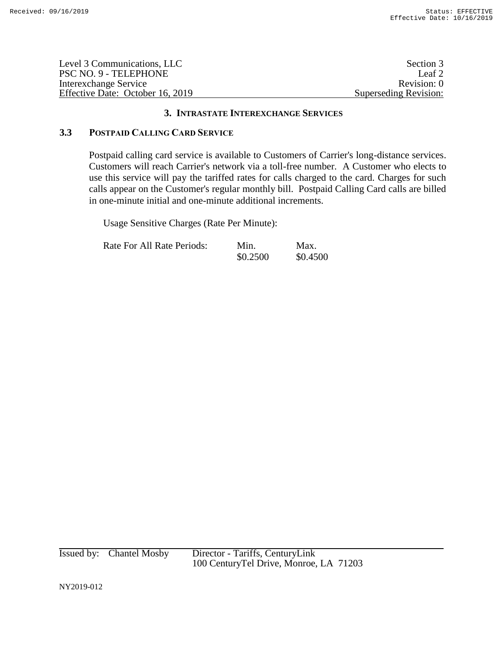| Level 3 Communications, LLC      | Section 3             |
|----------------------------------|-----------------------|
| PSC NO. 9 - TELEPHONE            | Leaf 2                |
| Interexchange Service            | Revision: 0           |
| Effective Date: October 16, 2019 | Superseding Revision: |

# **3.3 POSTPAID CALLING CARD SERVICE**

Postpaid calling card service is available to Customers of Carrier's long-distance services. Customers will reach Carrier's network via a toll-free number. A Customer who elects to use this service will pay the tariffed rates for calls charged to the card. Charges for such calls appear on the Customer's regular monthly bill. Postpaid Calling Card calls are billed in one-minute initial and one-minute additional increments.

Usage Sensitive Charges (Rate Per Minute):

| <b>Rate For All Rate Periods:</b> | Min.     | Max.     |
|-----------------------------------|----------|----------|
|                                   | \$0.2500 | \$0.4500 |

Issued by: Chantel Mosby Director - Tariffs, CenturyLink 100 CenturyTel Drive, Monroe, LA 71203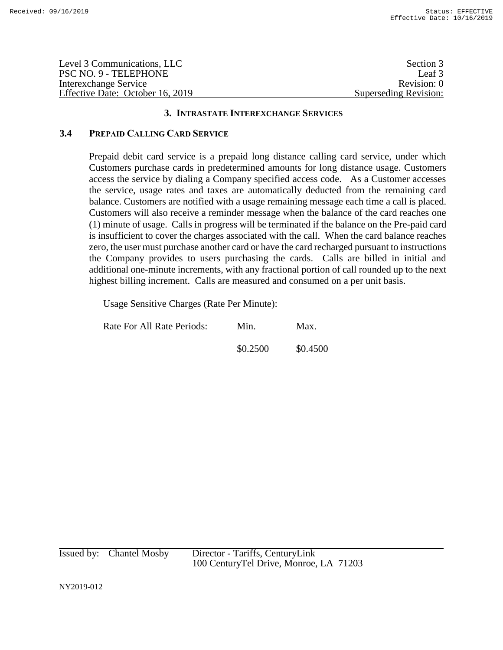| Level 3 Communications, LLC      | Section 3             |
|----------------------------------|-----------------------|
| PSC NO. 9 - TELEPHONE            | Leaf 3                |
| Interexchange Service            | Revision: 0           |
| Effective Date: October 16, 2019 | Superseding Revision: |

# **3.4 PREPAID CALLING CARD SERVICE**

Prepaid debit card service is a prepaid long distance calling card service, under which Customers purchase cards in predetermined amounts for long distance usage. Customers access the service by dialing a Company specified access code. As a Customer accesses the service, usage rates and taxes are automatically deducted from the remaining card balance. Customers are notified with a usage remaining message each time a call is placed. Customers will also receive a reminder message when the balance of the card reaches one (1) minute of usage. Calls in progress will be terminated if the balance on the Pre-paid card is insufficient to cover the charges associated with the call. When the card balance reaches zero, the user must purchase another card or have the card recharged pursuant to instructions the Company provides to users purchasing the cards. Calls are billed in initial and additional one-minute increments, with any fractional portion of call rounded up to the next highest billing increment. Calls are measured and consumed on a per unit basis.

Usage Sensitive Charges (Rate Per Minute):

| Rate For All Rate Periods: | Min.     | Max.     |
|----------------------------|----------|----------|
|                            | \$0.2500 | \$0.4500 |

| Issued by: | <b>Chantel Mosby</b> |
|------------|----------------------|
|------------|----------------------|

Director - Tariffs, CenturyLink 100 CenturyTel Drive, Monroe, LA 71203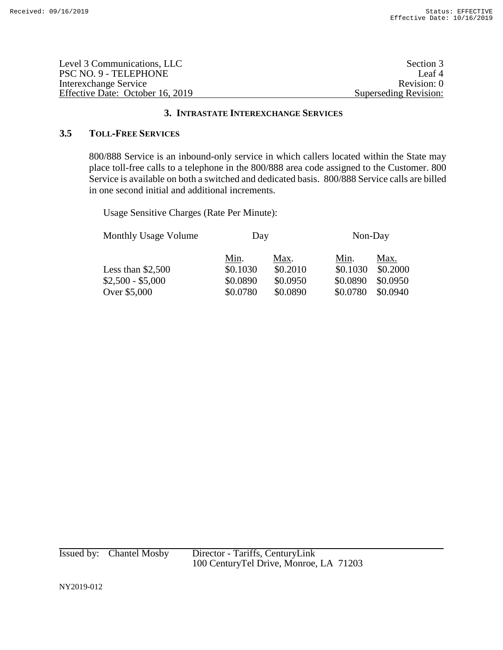| Level 3 Communications, LLC      | Section 3             |
|----------------------------------|-----------------------|
| PSC NO. 9 - TELEPHONE            | Leaf <sup>4</sup>     |
| Interexchange Service            | Revision: 0           |
| Effective Date: October 16, 2019 | Superseding Revision: |

# **3.5 TOLL-FREE SERVICES**

800/888 Service is an inbound-only service in which callers located within the State may place toll-free calls to a telephone in the 800/888 area code assigned to the Customer. 800 Service is available on both a switched and dedicated basis.800/888 Service calls are billed in one second initial and additional increments.

Usage Sensitive Charges (Rate Per Minute):

| <b>Monthly Usage Volume</b> | Day      |          | Non-Day  |          |
|-----------------------------|----------|----------|----------|----------|
|                             | Min.     | Max.     | Min.     | Max.     |
| Less than $$2,500$          | \$0.1030 | \$0.2010 | \$0.1030 | \$0.2000 |
| $$2,500 - $5,000$           | \$0.0890 | \$0.0950 | \$0.0890 | \$0.0950 |
| Over \$5,000                | \$0.0780 | \$0.0890 | \$0.0780 | \$0.0940 |

Issued by: Chantel Mosby Director - Tariffs, CenturyLink 100 CenturyTel Drive, Monroe, LA 71203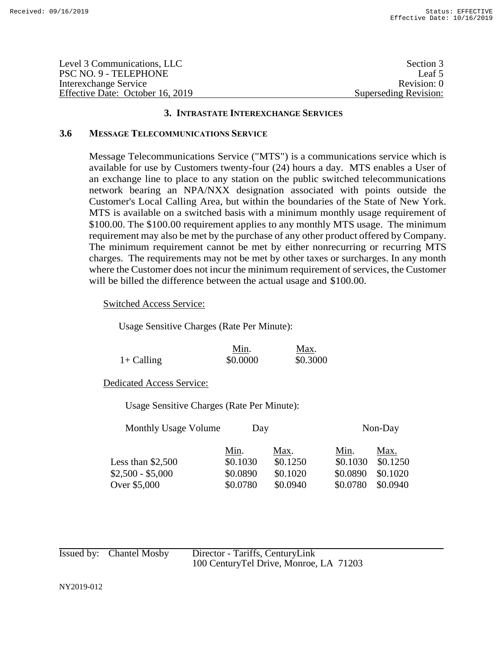| Level 3 Communications, LLC      | Section 3             |
|----------------------------------|-----------------------|
| PSC NO. 9 - TELEPHONE            | Leaf 5                |
| Interexchange Service            | Revision: 0           |
| Effective Date: October 16, 2019 | Superseding Revision: |

## **3.6 MESSAGE TELECOMMUNICATIONS SERVICE**

Message Telecommunications Service ("MTS") is a communications service which is available for use by Customers twenty-four (24) hours a day. MTS enables a User of an exchange line to place to any station on the public switched telecommunications network bearing an NPA/NXX designation associated with points outside the Customer's Local Calling Area, but within the boundaries of the State of New York. MTS is available on a switched basis with a minimum monthly usage requirement of \$100.00. The \$100.00 requirement applies to any monthly MTS usage. The minimum requirement may also be met by the purchase of any other product offered by Company. The minimum requirement cannot be met by either nonrecurring or recurring MTS charges. The requirements may not be met by other taxes or surcharges. In any month where the Customer does not incur the minimum requirement of services, the Customer will be billed the difference between the actual usage and \$100.00.

Switched Access Service:

Usage Sensitive Charges (Rate Per Minute):

|              | Min.     | Max.     |
|--------------|----------|----------|
| $1+$ Calling | \$0.0000 | \$0.3000 |

Dedicated Access Service:

Usage Sensitive Charges (Rate Per Minute):

|          |          |          | Non-Day  |
|----------|----------|----------|----------|
| Min.     | Max.     | Min.     | Max.     |
| \$0.1030 | \$0.1250 | \$0.1030 | \$0.1250 |
| \$0.0890 | \$0.1020 | \$0.0890 | \$0.1020 |
| \$0.0780 | \$0.0940 | \$0.0780 | \$0.0940 |
|          |          | Day      |          |

| Issued by: Chantel Mosby | Director - Tariffs, CenturyLink         |
|--------------------------|-----------------------------------------|
|                          | 100 Century Tel Drive, Monroe, LA 71203 |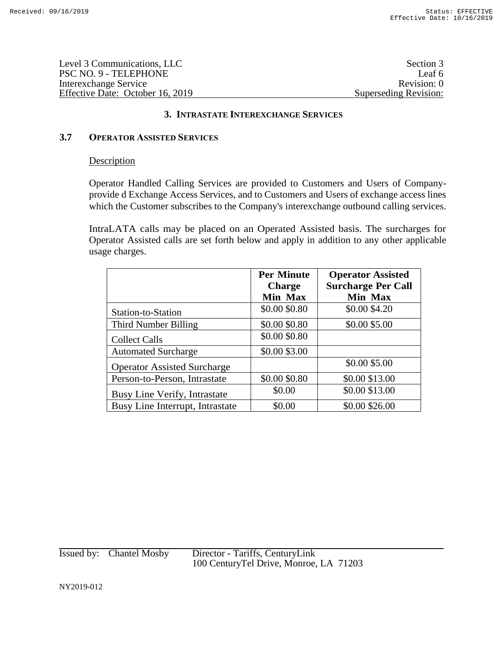| Level 3 Communications, LLC      | Section 3             |
|----------------------------------|-----------------------|
| PSC NO. 9 - TELEPHONE            | Leaf 6                |
| Interexchange Service            | Revision: 0           |
| Effective Date: October 16, 2019 | Superseding Revision: |

# **3.7 OPERATOR ASSISTED SERVICES**

# **Description**

Operator Handled Calling Services are provided to Customers and Users of Companyprovide d Exchange Access Services, and to Customers and Users of exchange access lines which the Customer subscribes to the Company's interexchange outbound calling services.

IntraLATA calls may be placed on an Operated Assisted basis. The surcharges for Operator Assisted calls are set forth below and apply in addition to any other applicable usage charges.

|                                    | <b>Per Minute</b><br><b>Charge</b> | <b>Operator Assisted</b><br><b>Surcharge Per Call</b> |
|------------------------------------|------------------------------------|-------------------------------------------------------|
|                                    | Min Max                            | Min Max                                               |
| Station-to-Station                 | \$0.00 \$0.80                      | \$0.00 \$4.20                                         |
| Third Number Billing               | \$0.00 \$0.80                      | \$0.00 \$5.00                                         |
| <b>Collect Calls</b>               | \$0.00 \$0.80                      |                                                       |
| <b>Automated Surcharge</b>         | \$0.00 \$3.00                      |                                                       |
| <b>Operator Assisted Surcharge</b> |                                    | \$0.00 \$5.00                                         |
| Person-to-Person, Intrastate       | \$0.00 \$0.80                      | \$0.00 \$13.00                                        |
| Busy Line Verify, Intrastate       | \$0.00                             | \$0.00 \$13.00                                        |
| Busy Line Interrupt, Intrastate    | \$0.00                             | \$0.00 \$26.00                                        |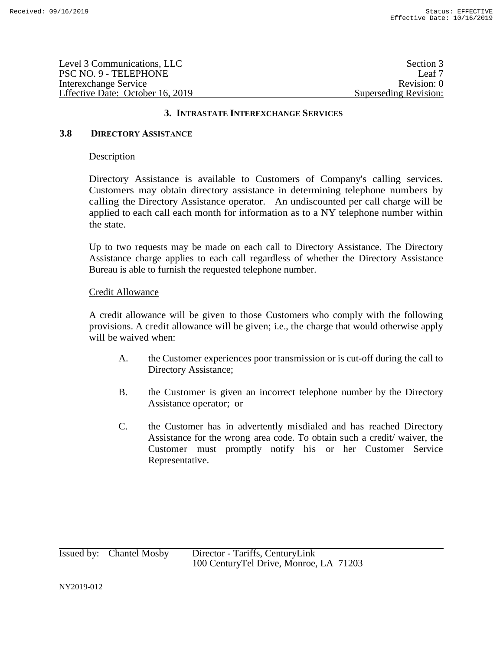| Level 3 Communications, LLC      | Section 3             |
|----------------------------------|-----------------------|
| PSC NO. 9 - TELEPHONE            | Leaf 7                |
| Interexchange Service            | Revision: 0           |
| Effective Date: October 16, 2019 | Superseding Revision: |

## **3.8 DIRECTORY ASSISTANCE**

## Description

Directory Assistance is available to Customers of Company's calling services. Customers may obtain directory assistance in determining telephone numbers by calling the Directory Assistance operator. An undiscounted per call charge will be applied to each call each month for information as to a NY telephone number within the state.

Up to two requests may be made on each call to Directory Assistance. The Directory Assistance charge applies to each call regardless of whether the Directory Assistance Bureau is able to furnish the requested telephone number.

## Credit Allowance

A credit allowance will be given to those Customers who comply with the following provisions. A credit allowance will be given; i.e., the charge that would otherwise apply will be waived when:

- A. the Customer experiences poor transmission or is cut-off during the call to Directory Assistance;
- B. the Customer is given an incorrect telephone number by the Directory Assistance operator; or
- C. the Customer has in advertently misdialed and has reached Directory Assistance for the wrong area code. To obtain such a credit/ waiver, the Customer must promptly notify his or her Customer Service Representative.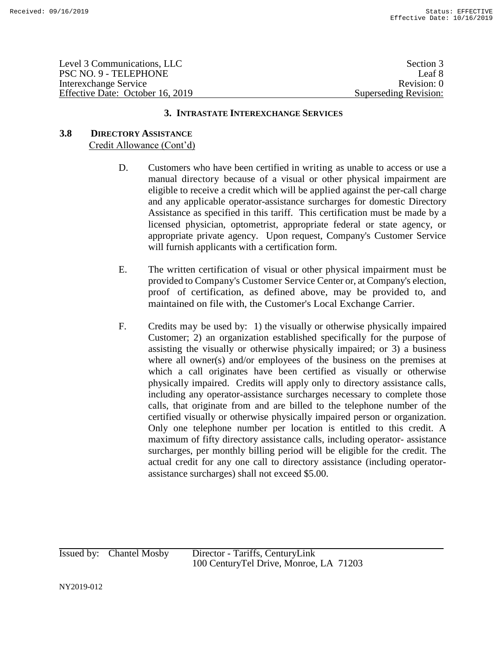| Level 3 Communications, LLC      | Section 3             |
|----------------------------------|-----------------------|
| PSC NO. 9 - TELEPHONE            | Leaf 8                |
| Interexchange Service            | Revision: 0           |
| Effective Date: October 16, 2019 | Superseding Revision: |

# **3.8 DIRECTORY ASSISTANCE** Credit Allowance (Cont'd)

- D. Customers who have been certified in writing as unable to access or use a manual directory because of a visual or other physical impairment are eligible to receive a credit which will be applied against the per-call charge and any applicable operator-assistance surcharges for domestic Directory Assistance as specified in this tariff. This certification must be made by a licensed physician, optometrist, appropriate federal or state agency, or appropriate private agency. Upon request, Company's Customer Service will furnish applicants with a certification form.
- E. The written certification of visual or other physical impairment must be provided to Company's Customer Service Center or, at Company's election, proof of certification, as defined above, may be provided to, and maintained on file with, the Customer's Local Exchange Carrier.
- F. Credits may be used by: 1) the visually or otherwise physically impaired Customer; 2) an organization established specifically for the purpose of assisting the visually or otherwise physically impaired; or 3) a business where all owner(s) and/or employees of the business on the premises at which a call originates have been certified as visually or otherwise physically impaired. Credits will apply only to directory assistance calls, including any operator-assistance surcharges necessary to complete those calls, that originate from and are billed to the telephone number of the certified visually or otherwise physically impaired person or organization. Only one telephone number per location is entitled to this credit. A maximum of fifty directory assistance calls, including operator- assistance surcharges, per monthly billing period will be eligible for the credit. The actual credit for any one call to directory assistance (including operatorassistance surcharges) shall not exceed \$5.00.